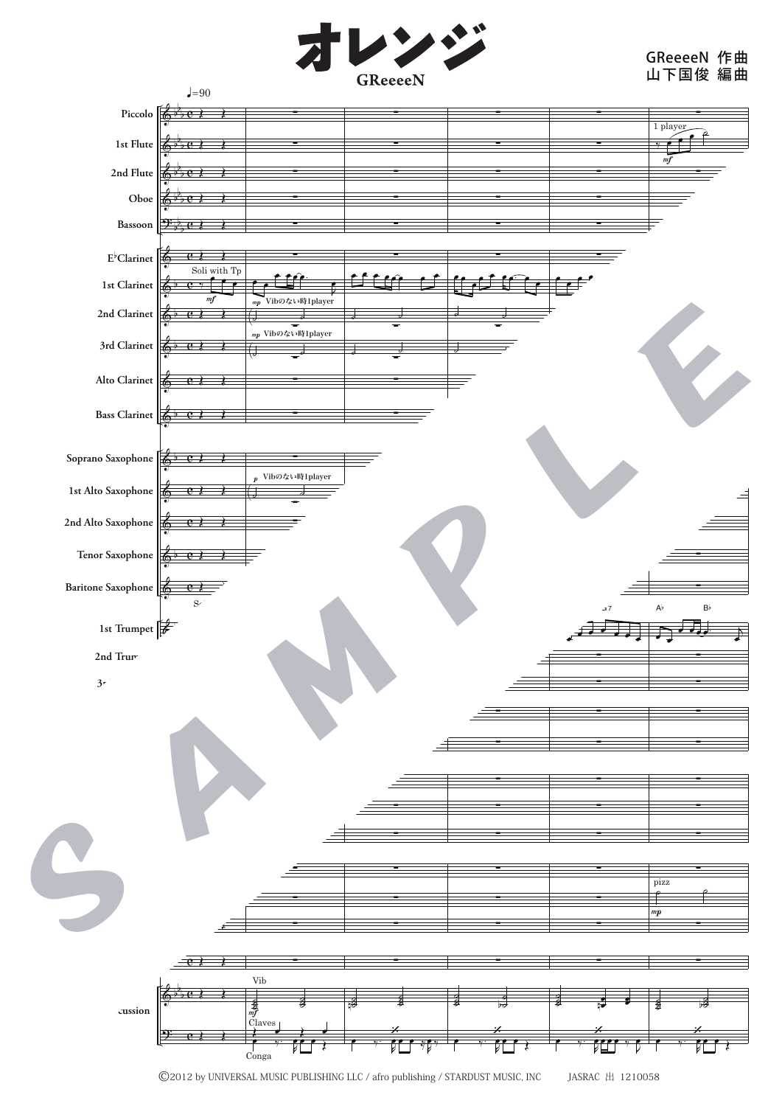

## GReeeeN 山下国俊 作曲 編曲



<sup>©2012</sup> by UNIVERSAL MUSIC PUBLISHING LLC / afro publishing / STARDUST MUSIC, INC JASRAC 出 1210058